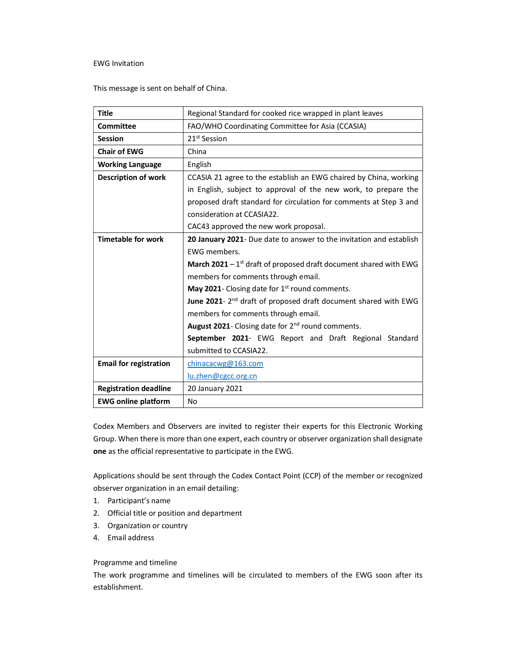## EWG Invitation

This message is sent on behalf of China.

| <b>Title</b>                  | Regional Standard for cooked rice wrapped in plant leaves                  |
|-------------------------------|----------------------------------------------------------------------------|
| <b>Committee</b>              | FAO/WHO Coordinating Committee for Asia (CCASIA)                           |
| <b>Session</b>                | 21 <sup>st</sup> Session                                                   |
| <b>Chair of EWG</b>           | China                                                                      |
| <b>Working Language</b>       | English                                                                    |
| <b>Description of work</b>    | CCASIA 21 agree to the establish an EWG chaired by China, working          |
|                               | in English, subject to approval of the new work, to prepare the            |
|                               | proposed draft standard for circulation for comments at Step 3 and         |
|                               | consideration at CCASIA22.                                                 |
|                               | CAC43 approved the new work proposal.                                      |
| <b>Timetable for work</b>     | 20 January 2021- Due date to answer to the invitation and establish        |
|                               | EWG members.                                                               |
|                               | <b>March 2021</b> – $1st$ draft of proposed draft document shared with EWG |
|                               | members for comments through email.                                        |
|                               | May 2021- Closing date for 1 <sup>st</sup> round comments.                 |
|                               | June 2021-2 <sup>nd</sup> draft of proposed draft document shared with EWG |
|                               | members for comments through email.                                        |
|                               | August 2021- Closing date for 2 <sup>nd</sup> round comments.              |
|                               | September 2021- EWG Report and Draft Regional Standard                     |
|                               | submitted to CCASIA22.                                                     |
| <b>Email for registration</b> | chinacacwg@163.com                                                         |
|                               | lu,zhen@cgc.org.cn                                                         |
| <b>Registration deadline</b>  | 20 January 2021                                                            |
| <b>EWG online platform</b>    | No                                                                         |

Codex Members and Observers are invited to register their experts for this Electronic Working Group. When there is more than one expert, each country or observer organization shall designate one as the official representative to participate in the EWG.

Applications should be sent through the Codex Contact Point (CCP) of the member or recognized observer organization in an email detailing:

- 1. Participant's name
- 2. Official title or position and department
- 3. Organization or country
- 4. Email address

## Programme and timeline

The work programme and timelines will be circulated to members of the EWG soon after its establishment.